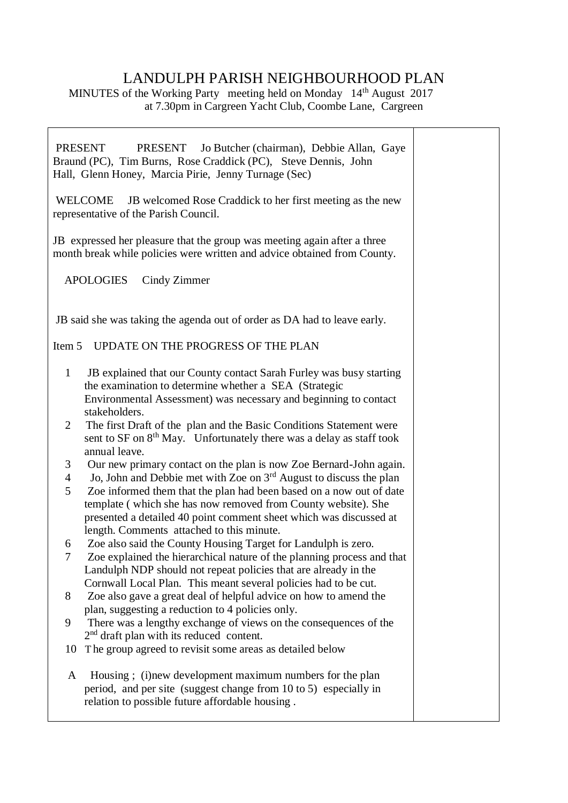## LANDULPH PARISH NEIGHBOURHOOD PLAN

 $\overline{\mathsf{T}}$ 

٦

MINUTES of the Working Party meeting held on Monday 14<sup>th</sup> August 2017 at 7.30pm in Cargreen Yacht Club, Coombe Lane, Cargreen

| <b>PRESENT</b><br>PRESENT Jo Butcher (chairman), Debbie Allan, Gaye<br>Braund (PC), Tim Burns, Rose Craddick (PC), Steve Dennis, John<br>Hall, Glenn Honey, Marcia Pirie, Jenny Turnage (Sec) |                                                                                                                                                                                                                   |  |  |
|-----------------------------------------------------------------------------------------------------------------------------------------------------------------------------------------------|-------------------------------------------------------------------------------------------------------------------------------------------------------------------------------------------------------------------|--|--|
| WELCOME<br>representative of the Parish Council.                                                                                                                                              |                                                                                                                                                                                                                   |  |  |
| JB expressed her pleasure that the group was meeting again after a three<br>month break while policies were written and advice obtained from County.                                          |                                                                                                                                                                                                                   |  |  |
|                                                                                                                                                                                               | <b>APOLOGIES</b><br>Cindy Zimmer                                                                                                                                                                                  |  |  |
|                                                                                                                                                                                               | JB said she was taking the agenda out of order as DA had to leave early.                                                                                                                                          |  |  |
| Item 5                                                                                                                                                                                        | UPDATE ON THE PROGRESS OF THE PLAN                                                                                                                                                                                |  |  |
| $\mathbf{1}$                                                                                                                                                                                  | JB explained that our County contact Sarah Furley was busy starting<br>the examination to determine whether a SEA (Strategic<br>Environmental Assessment) was necessary and beginning to contact                  |  |  |
| 2                                                                                                                                                                                             | stakeholders.<br>The first Draft of the plan and the Basic Conditions Statement were<br>sent to SF on 8 <sup>th</sup> May. Unfortunately there was a delay as staff took<br>annual leave.                         |  |  |
| 3<br>$\overline{4}$<br>5                                                                                                                                                                      | Our new primary contact on the plan is now Zoe Bernard-John again.<br>Jo, John and Debbie met with Zoe on $3rd$ August to discuss the plan<br>Zoe informed them that the plan had been based on a now out of date |  |  |
|                                                                                                                                                                                               | template (which she has now removed from County website). She<br>presented a detailed 40 point comment sheet which was discussed at<br>length. Comments attached to this minute.                                  |  |  |
| 6<br>7                                                                                                                                                                                        | Zoe also said the County Housing Target for Landulph is zero.<br>Zoe explained the hierarchical nature of the planning process and that<br>Landulph NDP should not repeat policies that are already in the        |  |  |
| 8                                                                                                                                                                                             | Cornwall Local Plan. This meant several policies had to be cut.<br>Zoe also gave a great deal of helpful advice on how to amend the                                                                               |  |  |
| 9                                                                                                                                                                                             | plan, suggesting a reduction to 4 policies only.<br>There was a lengthy exchange of views on the consequences of the<br>$2nd$ draft plan with its reduced content.                                                |  |  |
| 10                                                                                                                                                                                            | The group agreed to revisit some areas as detailed below                                                                                                                                                          |  |  |
| A                                                                                                                                                                                             | Housing; (i)new development maximum numbers for the plan<br>period, and per site (suggest change from 10 to 5) especially in<br>relation to possible future affordable housing.                                   |  |  |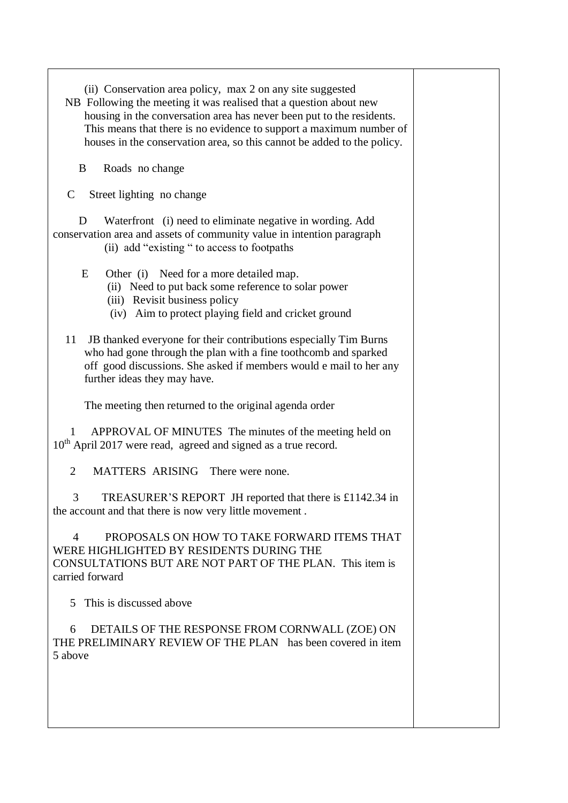- (ii) Conservation area policy, max 2 on any site suggested
- NB Following the meeting it was realised that a question about new housing in the conversation area has never been put to the residents. This means that there is no evidence to support a maximum number of houses in the conservation area, so this cannot be added to the policy.

B Roads no change

C Street lighting no change

D Waterfront (i) need to eliminate negative in wording. Add conservation area and assets of community value in intention paragraph (ii) add "existing " to access to footpaths

E Other (i) Need for a more detailed map.

- (ii) Need to put back some reference to solar power
- (iii) Revisit business policy
- (iv) Aim to protect playing field and cricket ground
- 11 JB thanked everyone for their contributions especially Tim Burns who had gone through the plan with a fine toothcomb and sparked off good discussions. She asked if members would e mail to her any further ideas they may have.

The meeting then returned to the original agenda order

 1 APPROVAL OF MINUTES The minutes of the meeting held on 10<sup>th</sup> April 2017 were read, agreed and signed as a true record.

2 MATTERS ARISING There were none.

 3 TREASURER'S REPORT JH reported that there is £1142.34 in the account and that there is now very little movement .

 4 PROPOSALS ON HOW TO TAKE FORWARD ITEMS THAT WERE HIGHLIGHTED BY RESIDENTS DURING THE CONSULTATIONS BUT ARE NOT PART OF THE PLAN. This item is carried forward

5 This is discussed above

 6 DETAILS OF THE RESPONSE FROM CORNWALL (ZOE) ON THE PRELIMINARY REVIEW OF THE PLAN has been covered in item 5 above